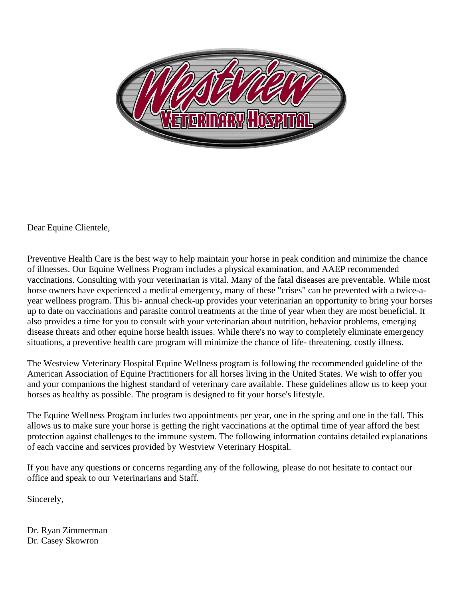

Dear Equine Clientele,

Preventive Health Care is the best way to help maintain your horse in peak condition and minimize the chance of illnesses. Our Equine Wellness Program includes a physical examination, and AAEP recommended vaccinations. Consulting with your veterinarian is vital. Many of the fatal diseases are preventable. While most horse owners have experienced a medical emergency, many of these "crises" can be prevented with a twice-ayear wellness program. This bi- annual check-up provides your veterinarian an opportunity to bring your horses up to date on vaccinations and parasite control treatments at the time of year when they are most beneficial. It also provides a time for you to consult with your veterinarian about nutrition, behavior problems, emerging disease threats and other equine horse health issues. While there's no way to completely eliminate emergency situations, a preventive health care program will minimize the chance of life- threatening, costly illness.

The Westview Veterinary Hospital Equine Wellness program is following the recommended guideline of the American Association of Equine Practitioners for all horses living in the United States. We wish to offer you and your companions the highest standard of veterinary care available. These guidelines allow us to keep your horses as healthy as possible. The program is designed to fit your horse's lifestyle.

The Equine Wellness Program includes two appointments per year, one in the spring and one in the fall. This allows us to make sure your horse is getting the right vaccinations at the optimal time of year afford the best protection against challenges to the immune system. The following information contains detailed explanations of each vaccine and services provided by Westview Veterinary Hospital.

If you have any questions or concerns regarding any of the following, please do not hesitate to contact our office and speak to our Veterinarians and Staff.

Sincerely,

Dr. Ryan Zimmerman Dr. Casey Skowron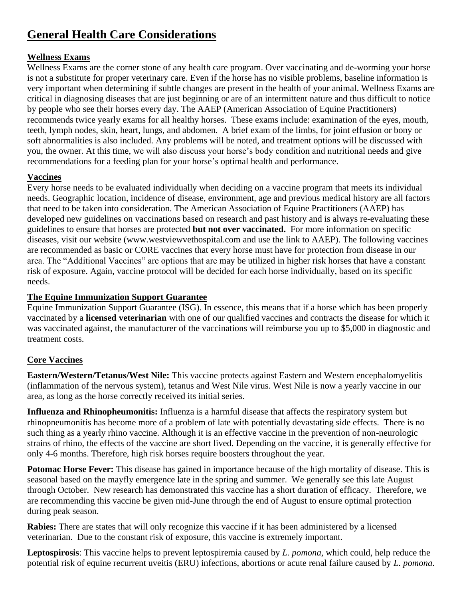## **General Health Care Considerations**

### **Wellness Exams**

Wellness Exams are the corner stone of any health care program. Over vaccinating and de-worming your horse is not a substitute for proper veterinary care. Even if the horse has no visible problems, baseline information is very important when determining if subtle changes are present in the health of your animal. Wellness Exams are critical in diagnosing diseases that are just beginning or are of an intermittent nature and thus difficult to notice by people who see their horses every day. The AAEP (American Association of Equine Practitioners) recommends twice yearly exams for all healthy horses. These exams include: examination of the eyes, mouth, teeth, lymph nodes, skin, heart, lungs, and abdomen. A brief exam of the limbs, for joint effusion or bony or soft abnormalities is also included. Any problems will be noted, and treatment options will be discussed with you, the owner. At this time, we will also discuss your horse's body condition and nutritional needs and give recommendations for a feeding plan for your horse's optimal health and performance.

#### **Vaccines**

Every horse needs to be evaluated individually when deciding on a vaccine program that meets its individual needs. Geographic location, incidence of disease, environment, age and previous medical history are all factors that need to be taken into consideration. The American Association of Equine Practitioners (AAEP) has developed new guidelines on vaccinations based on research and past history and is always re-evaluating these guidelines to ensure that horses are protected **but not over vaccinated.** For more information on specific diseases, visit our website (www.westviewvethospital.com and use the link to AAEP). The following vaccines are recommended as basic or CORE vaccines that every horse must have for protection from disease in our area. The "Additional Vaccines" are options that are may be utilized in higher risk horses that have a constant risk of exposure. Again, vaccine protocol will be decided for each horse individually, based on its specific needs.

#### **The Equine Immunization Support Guarantee**

Equine Immunization Support Guarantee (ISG). In essence, this means that if a horse which has been properly vaccinated by a **licensed veterinarian** with one of our qualified vaccines and contracts the disease for which it was vaccinated against, the manufacturer of the vaccinations will reimburse you up to \$5,000 in diagnostic and treatment costs.

### **Core Vaccines**

**Eastern/Western/Tetanus/West Nile:** This vaccine protects against Eastern and Western encephalomyelitis (inflammation of the nervous system), tetanus and West Nile virus. West Nile is now a yearly vaccine in our area, as long as the horse correctly received its initial series.

**Influenza and Rhinopheumonitis:** Influenza is a harmful disease that affects the respiratory system but rhinopneumonitis has become more of a problem of late with potentially devastating side effects. There is no such thing as a yearly rhino vaccine. Although it is an effective vaccine in the prevention of non-neurologic strains of rhino, the effects of the vaccine are short lived. Depending on the vaccine, it is generally effective for only 4-6 months. Therefore, high risk horses require boosters throughout the year.

**Potomac Horse Fever:** This disease has gained in importance because of the high mortality of disease. This is seasonal based on the mayfly emergence late in the spring and summer. We generally see this late August through October. New research has demonstrated this vaccine has a short duration of efficacy. Therefore, we are recommending this vaccine be given mid-June through the end of August to ensure optimal protection during peak season.

**Rabies:** There are states that will only recognize this vaccine if it has been administered by a licensed veterinarian. Due to the constant risk of exposure, this vaccine is extremely important.

**Leptospirosis**: This vaccine helps to prevent leptospiremia caused by *L. pomona*, which could, help reduce the potential risk of equine recurrent uveitis (ERU) infections, abortions or acute renal failure caused by *L. pomona*.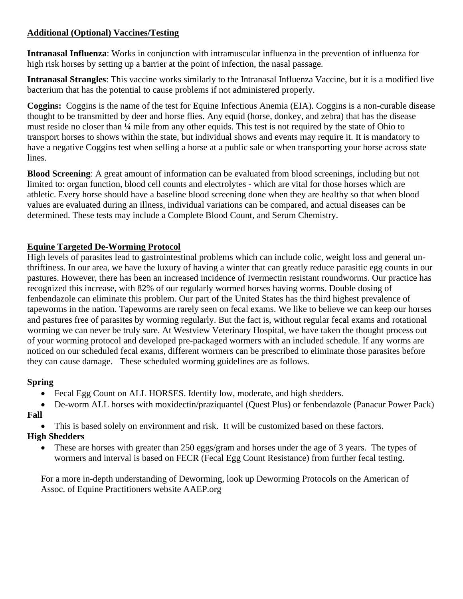#### **Additional (Optional) Vaccines/Testing**

**Intranasal Influenza**: Works in conjunction with intramuscular influenza in the prevention of influenza for high risk horses by setting up a barrier at the point of infection, the nasal passage.

**Intranasal Strangles**: This vaccine works similarly to the Intranasal Influenza Vaccine, but it is a modified live bacterium that has the potential to cause problems if not administered properly.

**Coggins:** Coggins is the name of the test for Equine Infectious Anemia (EIA). Coggins is a non-curable disease thought to be transmitted by deer and horse flies. Any equid (horse, donkey, and zebra) that has the disease must reside no closer than ¼ mile from any other equids. This test is not required by the state of Ohio to transport horses to shows within the state, but individual shows and events may require it. It is mandatory to have a negative Coggins test when selling a horse at a public sale or when transporting your horse across state lines.

**Blood Screening**: A great amount of information can be evaluated from blood screenings, including but not limited to: organ function, blood cell counts and electrolytes - which are vital for those horses which are athletic. Every horse should have a baseline blood screening done when they are healthy so that when blood values are evaluated during an illness, individual variations can be compared, and actual diseases can be determined. These tests may include a Complete Blood Count, and Serum Chemistry.

#### **Equine Targeted De-Worming Protocol**

High levels of parasites lead to gastrointestinal problems which can include colic, weight loss and general unthriftiness. In our area, we have the luxury of having a winter that can greatly reduce parasitic egg counts in our pastures. However, there has been an increased incidence of Ivermectin resistant roundworms. Our practice has recognized this increase, with 82% of our regularly wormed horses having worms. Double dosing of fenbendazole can eliminate this problem. Our part of the United States has the third highest prevalence of tapeworms in the nation. Tapeworms are rarely seen on fecal exams. We like to believe we can keep our horses and pastures free of parasites by worming regularly. But the fact is, without regular fecal exams and rotational worming we can never be truly sure. At Westview Veterinary Hospital, we have taken the thought process out of your worming protocol and developed pre-packaged wormers with an included schedule. If any worms are noticed on our scheduled fecal exams, different wormers can be prescribed to eliminate those parasites before they can cause damage. These scheduled worming guidelines are as follows.

### **Spring**

- Fecal Egg Count on ALL HORSES. Identify low, moderate, and high shedders.
- De-worm ALL horses with moxidectin/praziquantel (Quest Plus) or fenbendazole (Panacur Power Pack) **Fall**
	- This is based solely on environment and risk. It will be customized based on these factors.

### **High Shedders**

• These are horses with greater than 250 eggs/gram and horses under the age of 3 years. The types of wormers and interval is based on FECR (Fecal Egg Count Resistance) from further fecal testing.

For a more in-depth understanding of Deworming, look up Deworming Protocols on the American of Assoc. of Equine Practitioners website AAEP.org